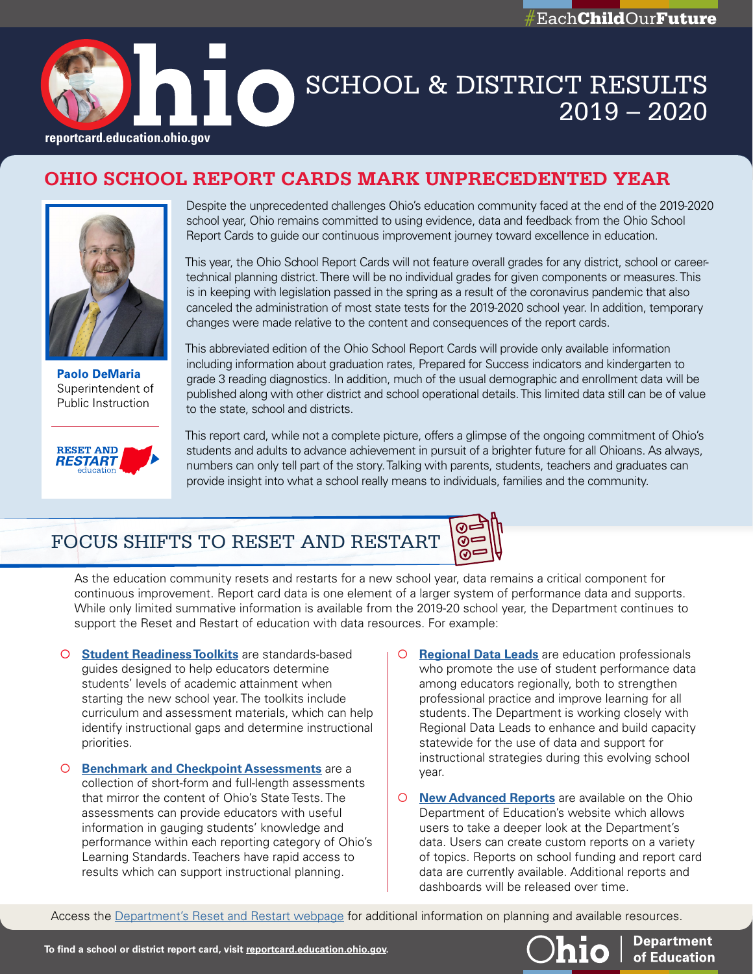



# CONNECT AUTORITIS 2019 – 2020

## **OHIO SCHOOL REPORT CARDS MARK UNPRECEDENTED YEAR**



**Paolo DeMaria** Superintendent of Public Instruction



Despite the unprecedented challenges Ohio's education community faced at the end of the 2019-2020 school year, Ohio remains committed to using evidence, data and feedback from the Ohio School Report Cards to guide our continuous improvement journey toward excellence in education.

This year, the Ohio School Report Cards will not feature overall grades for any district, school or careertechnical planning district. There will be no individual grades for given components or measures. This is in keeping with legislation passed in the spring as a result of the coronavirus pandemic that also canceled the administration of most state tests for the 2019-2020 school year. In addition, temporary changes were made relative to the content and consequences of the report cards.

This abbreviated edition of the Ohio School Report Cards will provide only available information including information about graduation rates, Prepared for Success indicators and kindergarten to grade 3 reading diagnostics. In addition, much of the usual demographic and enrollment data will be published along with other district and school operational details. This limited data still can be of value to the state, school and districts.

⊚∘

This report card, while not a complete picture, offers a glimpse of the ongoing commitment of Ohio's students and adults to advance achievement in pursuit of a brighter future for all Ohioans. As always, numbers can only tell part of the story. Talking with parents, students, teachers and graduates can provide insight into what a school really means to individuals, families and the community.

## FOCUS SHIFTS TO RESET AND RESTART

As the education community resets and restarts for a new school year, data remains a critical component for continuous improvement. Report card data is one element of a larger system of performance data and supports. While only limited summative information is available from the 2019-20 school year, the Department continues to support the Reset and Restart of education with data resources. For example:

- � **[Student Readiness Toolkits](http://education.ohio.gov/Topics/Reset-and-Restart/Student-Readiness-Toolkit)** are standards-based guides designed to help educators determine students' levels of academic attainment when starting the new school year. The toolkits include curriculum and assessment materials, which can help identify instructional gaps and determine instructional priorities.
- � **[Benchmark and Checkpoint Assessments](http://education.ohio.gov/Topics/Reset-and-Restart/Restart-Readiness-Assessments)** are a collection of short-form and full-length assessments that mirror the content of Ohio's State Tests. The assessments can provide educators with useful information in gauging students' knowledge and performance within each reporting category of Ohio's Learning Standards. Teachers have rapid access to results which can support instructional planning.
- � **[Regional Data Leads](http://education.ohio.gov/Topics/District-and-School-Continuous-Improvement/Regional-Data-Leads)** are education professionals who promote the use of student performance data among educators regionally, both to strengthen professional practice and improve learning for all students. The Department is working closely with Regional Data Leads to enhance and build capacity statewide for the use of data and support for instructional strategies during this evolving school year.
- � **[New Advanced Reports](https://reportcard.education.ohio.gov/advanced)** are available on the Ohio Department of Education's website which allows users to take a deeper look at the Department's data. Users can create custom reports on a variety of topics. Reports on school funding and report card data are currently available. Additional reports and dashboards will be released over time.

Access the [Department's Reset and Restart webpage](http://education.ohio.gov/Topics/Reset-and-Restart) for additional information on planning and available resources.



**Department**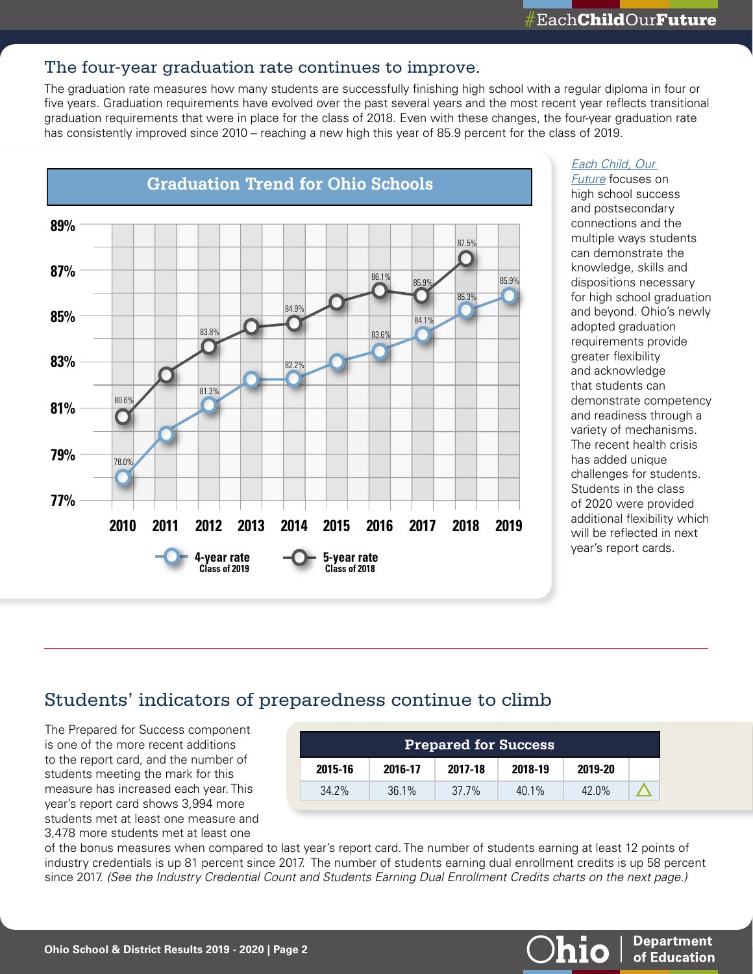#### The four-year graduation rate continues to improve.

The graduation rate measures how many students are successfully finishing high school with a regular diploma in four or five years. Graduation requirements have evolved over the past several years and the most recent year reflects transitional graduation requirements that were in place for the class of 2018. Even with these changes, the four-year graduation rate has consistently improved since 2010 – reaching a new high this year of 85.9 percent for the class of 2019.



#### *[Each Child, Our](http://education.ohio.gov/getattachment/About/EachChildOurFuture/Final-Strategic-Plan-Board-Approved.pdf.aspx?lang=en-US)*

*[Future](http://education.ohio.gov/getattachment/About/EachChildOurFuture/Final-Strategic-Plan-Board-Approved.pdf.aspx?lang=en-US)* focuses on high school success and postsecondary connections and the multiple ways students can demonstrate the knowledge, skills and dispositions necessary for high school graduation and beyond. Ohio's newly adopted graduation requirements provide greater flexibility and acknowledge that students can demonstrate competency and readiness through a variety of mechanisms. The recent health crisis has added unique challenges for students. Students in the class of 2020 were provided additional flexibility which will be reflected in next year's report cards.

**Department** 

of Education

hio

### Students' indicators of preparedness continue to climb

The Prepared for Success component is one of the more recent additions to the report card, and the number of students meeting the mark for this measure has increased each year. This year's report card shows 3,994 more students met at least one measure and 3,478 more students met at least one

| <b>Prepared for Success</b> |         |         |          |          |  |
|-----------------------------|---------|---------|----------|----------|--|
| 2015-16                     | 2016-17 | 2017-18 | 2018-19  | 2019-20  |  |
| $34.2\%$                    | 36.1%   | 37.7%   | $40.1\%$ | $42.0\%$ |  |

of the bonus measures when compared to last year's report card. The number of students earning at least 12 points of industry credentials is up 81 percent since 2017. The number of students earning dual enrollment credits is up 58 percent since 2017. *(See the Industry Credential Count and Students Earning Dual Enrollment Credits charts on the next page.)*